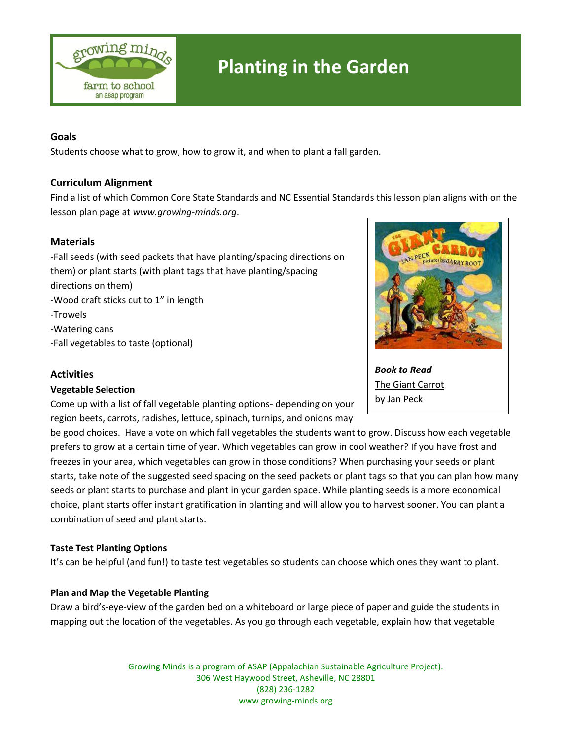

# **Planting in the Garden**

## **Goals**

Students choose what to grow, how to grow it, and when to plant a fall garden.

### **Curriculum Alignment**

Find a list of which Common Core State Standards and NC Essential Standards this lesson plan aligns with on the lesson plan page at *[www.growing-minds.org](http://www.growing-minds.org/)*.

### **Materials**

-Fall seeds (with seed packets that have planting/spacing directions on them) or plant starts (with plant tags that have planting/spacing directions on them) -Wood craft sticks cut to 1" in length -Trowels -Watering cans -Fall vegetables to taste (optional)

#### **Activities**

#### **Vegetable Selection**

Come up with a list of fall vegetable planting options- depending on your region beets, carrots, radishes, lettuce, spinach, turnips, and onions may

be good choices. Have a vote on which fall vegetables the students want to grow. Discuss how each vegetable prefers to grow at a certain time of year. Which vegetables can grow in cool weather? If you have frost and freezes in your area, which vegetables can grow in those conditions? When purchasing your seeds or plant starts, take note of the suggested seed spacing on the seed packets or plant tags so that you can plan how many seeds or plant starts to purchase and plant in your garden space. While planting seeds is a more economical choice, plant starts offer instant gratification in planting and will allow you to harvest sooner. You can plant a combination of seed and plant starts.

#### **Taste Test Planting Options**

It's can be helpful (and fun!) to taste test vegetables so students can choose which ones they want to plant.

#### **Plan and Map the Vegetable Planting**

Draw a bird's-eye-view of the garden bed on a whiteboard or large piece of paper and guide the students in mapping out the location of the vegetables. As you go through each vegetable, explain how that vegetable

> Growing Minds is a program of ASAP (Appalachian Sustainable Agriculture Project). 306 West Haywood Street, Asheville, NC 28801 (828) 236-1282 www.growing-minds.org



*Book to Read* The Giant Carrot by Jan Peck